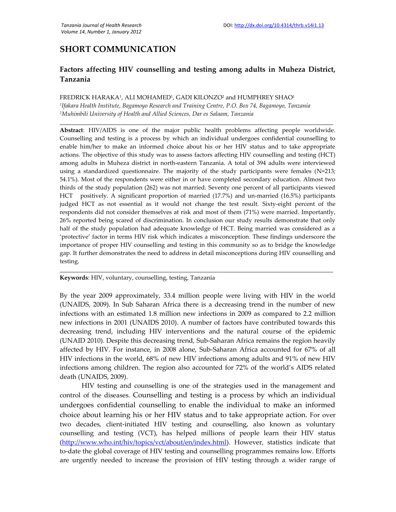## **SHORT COMMUNICATION**

## **Factors affecting HIV counselling and testing among adults in Muheza District, Tanzania**

**\_\_\_\_\_\_\_\_\_\_\_\_\_\_\_\_\_\_\_\_\_\_\_\_\_\_\_\_\_\_\_\_\_\_\_\_\_\_\_\_\_\_\_\_\_\_\_\_\_\_\_\_\_\_\_\_\_\_\_\_\_\_\_\_\_\_\_\_\_\_\_\_\_\_\_\_\_\_\_\_\_\_\_\_\_\_\_\_\_\_**

## FREDRICK HARAKA<sup>1</sup> , ALI MOHAMED<sup>1</sup> , GADI KILONZO<sup>2</sup> and HUMPHREY SHAO<sup>1</sup>

*1 Ifakara Health Institute, Bagamoyo Research and Training Centre, P.O. Box 74, Bagamoyo, Tanzania <sup>2</sup>Muhimbili University of Health and Allied Sciences, Dar es Salaam, Tanzania*

**Abstract**: HIV/AIDS is one of the major public health problems affecting people worldwide. Counselling and testing is a process by which an individual undergoes confidential counselling to enable him/her to make an informed choice about his or her HIV status and to take appropriate actions. The objective of this study was to assess factors affecting HIV counselling and testing (HCT) among adults in Muheza district in north-eastern Tanzania. A total of 394 adults were interviewed using a standardized questionnaire. The majority of the study participants were females (N=213; 54.1%). Most of the respondents were either in or have completed secondary education. Almost two thirds of the study population (262) was not married. Seventy one percent of all participants viewed HCT positively. A significant proportion of married (17.7%) and un-married (16.5%) participants judged HCT as not essential as it would not change the test result. Sixty-eight percent of the respondents did not consider themselves at risk and most of them (71%) were married. Importantly, 26% reported being scared of discrimination. In conclusion our study results demonstrate that only half of the study population had adequate knowledge of HCT. Being married was considered as a 'protective' factor in terms HIV risk which indicates a misconception. These findings underscore the importance of proper HIV counselling and testing in this community so as to bridge the knowledge gap. It further demonstrates the need to address in detail misconceptions during HIV counselling and testing.

**Keywords**: HIV, voluntary, counselling, testing, Tanzania

By the year 2009 approximately, 33.4 million people were living with HIV in the world (UNAIDS, 2009). In Sub Saharan Africa there is a decreasing trend in the number of new infections with an estimated 1.8 million new infections in 2009 as compared to 2.2 million new infections in 2001 (UNAIDS 2010). A number of factors have contributed towards this decreasing trend, including HIV interventions and the natural course of the epidemic (UNAID 2010). Despite this decreasing trend, Sub-Saharan Africa remains the region heavily affected by HIV. For instance, in 2008 alone, Sub-Saharan Africa accounted for 67% of all HIV infections in the world, 68% of new HIV infections among adults and 91% of new HIV infections among children. The region also accounted for 72% of the world's AIDS related death (UNAIDS, 2009).

\_\_\_\_\_\_\_\_\_\_\_\_\_\_\_\_\_\_\_\_\_\_\_\_\_\_\_\_\_\_\_\_\_\_\_\_\_\_\_\_\_\_\_\_\_\_\_\_\_\_\_\_\_\_\_\_\_\_\_\_\_\_\_\_\_\_\_\_\_\_\_\_\_\_\_\_\_\_\_\_\_\_\_\_\_\_\_\_\_\_

HIV testing and counselling is one of the strategies used in the management and control of the diseases. Counselling and testing is a process by which an individual undergoes confidential counselling to enable the individual to make an informed choice about learning his or her HIV status and to take appropriate action. For over two decades, client-initiated HIV testing and counselling, also known as voluntary counselling and testing (VCT), has helped millions of people learn their HIV status (http://www.who.int/hiv/topics/vct/about/en/index.html). However, statistics indicate that to-date the global coverage of HIV testing and counselling programmes remains low. Efforts are urgently needed to increase the provision of HIV testing through a wider range of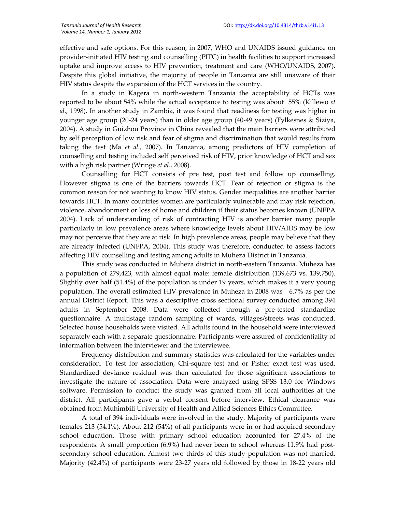effective and safe options. For this reason, in 2007, WHO and UNAIDS issued guidance on provider-initiated HIV testing and counselling (PITC) in health facilities to support increased uptake and improve access to HIV prevention, treatment and care (WHO/UNAIDS, 2007). Despite this global initiative, the majority of people in Tanzania are still unaware of their HIV status despite the expansion of the HCT services in the country.

In a study in Kagera in north-western Tanzania the acceptability of HCTs was reported to be about 54% while the actual acceptance to testing was about 55% (Killewo *et al.,* 1998). In another study in Zambia, it was found that readiness for testing was higher in younger age group (20-24 years) than in older age group (40-49 years) (Fylkesnes & Siziya, 2004). A study in Guizhou Province in China revealed that the main barriers were attributed by self perception of low risk and fear of stigma and discrimination that would results from taking the test (Ma *et al.,* 2007). In Tanzania, among predictors of HIV completion of counselling and testing included self perceived risk of HIV, prior knowledge of HCT and sex with a high risk partner (Wringe *et al*., 2008).

Counselling for HCT consists of pre test, post test and follow up counselling. However stigma is one of the barriers towards HCT. Fear of rejection or stigma is the common reason for not wanting to know HIV status. Gender inequalities are another barrier towards HCT. In many countries women are particularly vulnerable and may risk rejection, violence, abandonment or loss of home and children if their status becomes known (UNFPA 2004). Lack of understanding of risk of contracting HIV is another barrier many people particularly in low prevalence areas where knowledge levels about HIV/AIDS may be low may not perceive that they are at risk. In high prevalence areas, people may believe that they are already infected (UNFPA, 2004). This study was therefore, conducted to assess factors affecting HIV counselling and testing among adults in Muheza District in Tanzania.

This study was conducted in Muheza district in north-eastern Tanzania. Muheza has a population of 279,423, with almost equal male: female distribution (139,673 vs. 139,750). Slightly over half (51.4%) of the population is under 19 years, which makes it a very young population. The overall estimated HIV prevalence in Muheza in 2008 was 6.7% as per the annual District Report. This was a descriptive cross sectional survey conducted among 394 adults in September 2008. Data were collected through a pre-tested standardize questionnaire. A multistage random sampling of wards, villages/streets was conducted. Selected house households were visited. All adults found in the household were interviewed separately each with a separate questionnaire. Participants were assured of confidentiality of information between the interviewer and the interviewee.

Frequency distribution and summary statistics was calculated for the variables under consideration. To test for association, Chi-square test and or Fisher exact test was used. Standardized deviance residual was then calculated for those significant associations to investigate the nature of association. Data were analyzed using SPSS 13.0 for Windows software. Permission to conduct the study was granted from all local authorities at the district. All participants gave a verbal consent before interview. Ethical clearance was obtained from Muhimbili University of Health and Allied Sciences Ethics Committee.

A total of 394 individuals were involved in the study. Majority of participants were females 213 (54.1%). About 212 (54%) of all participants were in or had acquired secondary school education. Those with primary school education accounted for 27.4% of the respondents. A small proportion (6.9%) had never been to school whereas 11.9% had postsecondary school education. Almost two thirds of this study population was not married. Majority (42.4%) of participants were 23-27 years old followed by those in 18-22 years old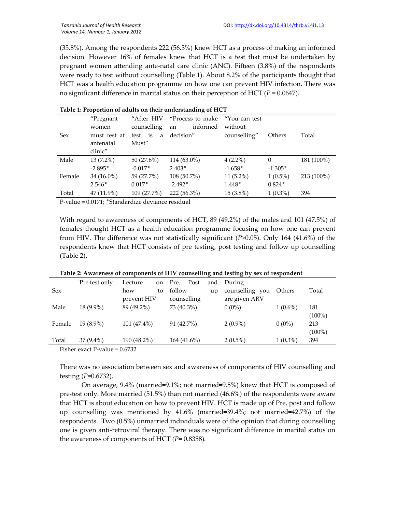(35.8%). Among the respondents 222 (56.3%) knew HCT as a process of making an informed decision. However 16% of females knew that HCT is a test that must be undertaken by pregnant women attending ante-natal care clinic (ANC). Fifteen (3.8%) of the respondents were ready to test without counselling (Table 1). About 8.2% of the participants thought that HCT was a health education programme on how one can prevent HIV infection. There was no significant difference in marital status on their perception of HCT ( $P = 0.0647$ ).

| Table 1: Proportion of addits on their understanding of FICT |              |              |                  |               |            |            |
|--------------------------------------------------------------|--------------|--------------|------------------|---------------|------------|------------|
|                                                              | "Pregnant    | "After HIV   | "Process to make | "You can test |            |            |
|                                                              | women        | counselling  | informed<br>an   | without       |            |            |
| <b>Sex</b>                                                   | must test at | test is<br>a | decision"        | counselling"  | Others     | Total      |
|                                                              | antenatal    | Must"        |                  |               |            |            |
|                                                              | clinic"      |              |                  |               |            |            |
| Male                                                         | $13(7.2\%)$  | 50(27.6%)    | $114(63.0\%)$    | $4(2.2\%)$    | $\Omega$   | 181 (100%) |
|                                                              | $-2.895*$    | $-0.017*$    | $2.403*$         | $-1.658*$     | $-1.305*$  |            |
| Female                                                       | $34(16.0\%)$ | 59 (27.7%)   | $108(50.7\%)$    | $11(5.2\%)$   | $1(0.5\%)$ | 213 (100%) |
|                                                              | $2.546*$     | $0.017*$     | $-2.492*$        | 1.448*        | $0.824*$   |            |
| Total                                                        | 47 (11.9%)   | 109 (27.7%)  | 222 (56.3%)      | $15(3.8\%)$   | $1(0.3\%)$ | 394        |

| Table 1: Proportion of adults on their understanding of HCT |  |
|-------------------------------------------------------------|--|
|-------------------------------------------------------------|--|

P-value = 0.0171; ٭Standardize deviance residual

With regard to awareness of components of HCT, 89 (49.2%) of the males and 101 (47.5%) of females thought HCT as a health education programme focusing on how one can prevent from HIV. The difference was not statistically significant (*P>*0.05). Only 164 (41.6%) of the respondents knew that HCT consists of pre testing, post testing and follow up counselling (Table 2).

|            |               |               |              | . . |                 |            |           |
|------------|---------------|---------------|--------------|-----|-----------------|------------|-----------|
|            | Pre test only | Lecture<br>on | Post<br>Pre, |     | and During      |            |           |
| <b>Sex</b> |               | how<br>to     | follow       | up  | counselling you | Others     | Total     |
|            |               | prevent HIV   | counselling  |     | are given ARV   |            |           |
| Male       | $18(9.9\%)$   | 89 (49.2%)    | 73 (40.3%)   |     | $0(0\%)$        | $1(0.6\%)$ | 181       |
|            |               |               |              |     |                 |            | $(100\%)$ |
| Female     | $19(8.9\%)$   | $101(47.4\%)$ | 91 (42.7%)   |     | $2(0.9\%)$      | $0(0\%)$   | 213       |
|            |               |               |              |     |                 |            | $(100\%)$ |
| Total      | $37(9.4\%)$   | 190 (48.2%)   | 164 (41.6%)  |     | $2(0.5\%)$      | $1(0.3\%)$ | 394       |

**Table 2: Awareness of components of HIV counselling and testing by sex of respondent**

Fisher exact P-value = 0.6732

There was no association between sex and awareness of components of HIV counselling and testing (*P*=0.6732).

On average, 9.4% (married=9.1%; not married=9.5%) knew that HCT is composed of pre-test only. More married (51.5%) than not married (46.6%) of the respondents were aware that HCT is about education on how to prevent HIV. HCT is made up of Pre, post and follow up counselling was mentioned by 41.6% (married=39.4%; not married=42.7%) of the respondents. Two (0.5%) unmarried individuals were of the opinion that during counselling one is given anti-retroviral therapy. There was no significant difference in marital status on the awareness of components of HCT *(P=* 0.8358)*.*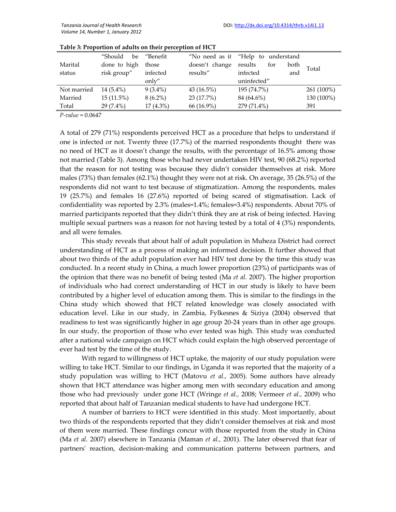|             | "Should<br>be | "Benefit    |                | "No need as it "Help to understand |            |
|-------------|---------------|-------------|----------------|------------------------------------|------------|
| Marital     | done to high  | those       | doesn't change | results<br>both<br>for             | Total      |
| status      | risk group"   | infected    | results"       | infected<br>and                    |            |
|             |               | only"       |                | uninfected"                        |            |
| Not married | $14(5.4\%)$   | $9(3.4\%)$  | 43 (16.5%)     | 195 (74.7%)                        | 261 (100%) |
| Married     | $15(11.5\%)$  | $8(6.2\%)$  | 23 (17.7%)     | 84 (64.6%)                         | 130 (100%) |
| Total       | $29(7.4\%)$   | $17(4.3\%)$ | 66 (16.9%)     | 279 (71.4%)                        | 391        |

| Table 3: Proportion of adults on their perception of HCT |  |  |
|----------------------------------------------------------|--|--|
|----------------------------------------------------------|--|--|

*P-value* = 0.0647

A total of 279 (71%) respondents perceived HCT as a procedure that helps to understand if one is infected or not. Twenty three (17.7%) of the married respondents thought there was no need of HCT as it doesn't change the results, with the percentage of 16.5% among those not married (Table 3). Among those who had never undertaken HIV test, 90 (68.2%) reported that the reason for not testing was because they didn't consider themselves at risk. More males (73%) than females (62.1%) thought they were not at risk. On average, 35 (26.5%) of the respondents did not want to test because of stigmatization. Among the respondents, males 19 (25.7%) and females 16 (27.6%) reported of being scared of stigmatisation. Lack of confidentiality was reported by 2.3% (males=1.4%; females=3.4%) respondents. About 70% of married participants reported that they didn't think they are at risk of being infected. Having multiple sexual partners was a reason for not having tested by a total of 4 (3%) respondents, and all were females.

This study reveals that about half of adult population in Muheza District had correct understanding of HCT as a process of making an informed decision. It further showed that about two thirds of the adult population ever had HIV test done by the time this study was conducted. In a recent study in China, a much lower proportion (23%) of participants was of the opinion that there was no benefit of being tested (Ma *et al.* 2007). The higher proportion of individuals who had correct understanding of HCT in our study is likely to have been contributed by a higher level of education among them. This is similar to the findings in the China study which showed that HCT related knowledge was closely associated with education level. Like in our study, in Zambia, Fylkesnes & Siziya (2004) observed that readiness to test was significantly higher in age group 20-24 years than in other age groups. In our study, the proportion of those who ever tested was high. This study was conducted after a national wide campaign on HCT which could explain the high observed percentage of ever had test by the time of the study.

With regard to willingness of HCT uptake, the majority of our study population were willing to take HCT. Similar to our findings, in Uganda it was reported that the majority of a study population was willing to HCT (Matovu *et al.,* 2005). Some authors have already shown that HCT attendance was higher among men with secondary education and among those who had previously under gone HCT (Wringe *et al.,* 2008; Vermeer *et al.,* 2009) who reported that about half of Tanzanian medical students to have had undergone HCT.

A number of barriers to HCT were identified in this study. Most importantly, about two thirds of the respondents reported that they didn't consider themselves at risk and most of them were married. These findings concur with those reported from the study in China (Ma *et al.* 2007) elsewhere in Tanzania (Maman *et al.,* 2001). The later observed that fear of partners' reaction, decision-making and communication patterns between partners, and